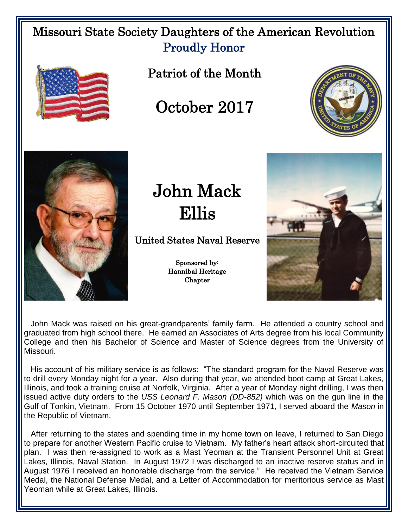## Missouri State Society Daughters of the American Revolution Proudly Honor



Patriot of the Month

October 2017





## John Mack Ellis

United States Naval Reserve

Sponsored by: Hannibal Heritage **Chapter** 



 John Mack was raised on his great-grandparents' family farm. He attended a country school and graduated from high school there. He earned an Associates of Arts degree from his local Community College and then his Bachelor of Science and Master of Science degrees from the University of Missouri.

 His account of his military service is as follows: "The standard program for the Naval Reserve was to drill every Monday night for a year. Also during that year, we attended boot camp at Great Lakes, Illinois, and took a training cruise at Norfolk, Virginia. After a year of Monday night drilling, I was then issued active duty orders to the *USS Leonard F. Mason (DD-852)* which was on the gun line in the Gulf of Tonkin, Vietnam. From 15 October 1970 until September 1971, I served aboard the *Mason* in the Republic of Vietnam.

 After returning to the states and spending time in my home town on leave, I returned to San Diego to prepare for another Western Pacific cruise to Vietnam. My father's heart attack short-circuited that plan. I was then re-assigned to work as a Mast Yeoman at the Transient Personnel Unit at Great Lakes, Illinois, Naval Station. In August 1972 I was discharged to an inactive reserve status and in August 1976 I received an honorable discharge from the service." He received the Vietnam Service Medal, the National Defense Medal, and a Letter of Accommodation for meritorious service as Mast Yeoman while at Great Lakes, Illinois.